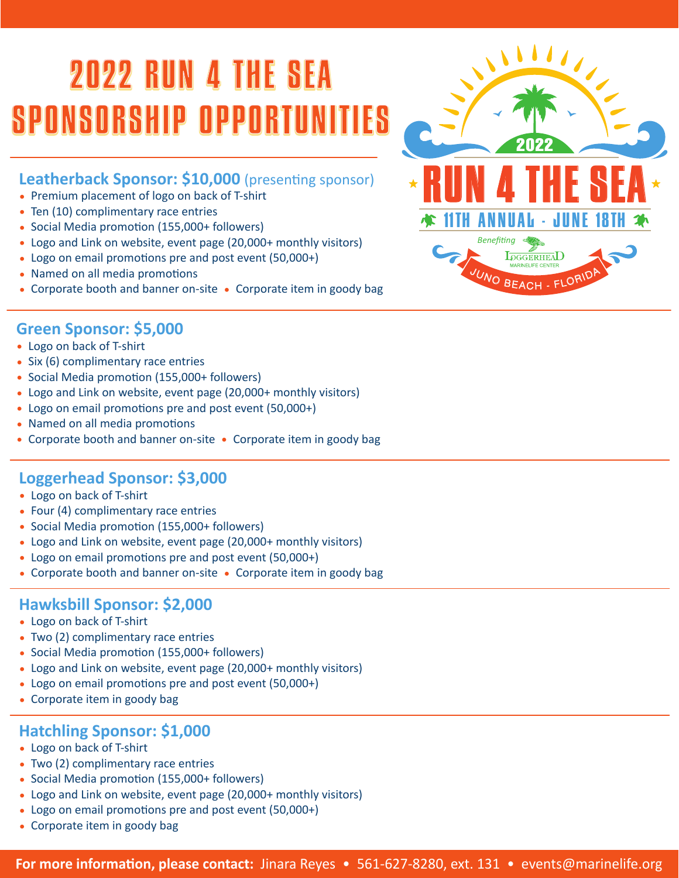# 2022 RUN 4 THE SEA SPONSORSHIP OPPORT

### **Leatherback Sponsor: \$10,000** (presenting sponsor)

- Premium placement of logo on back of T-shirt
- Ten (10) complimentary race entries
- Social Media promotion (155,000+ followers)
- Logo and Link on website, event page (20,000+ monthly visitors)
- Logo on email promotions pre and post event (50,000+)
- Named on all media promotions
- Corporate booth and banner on-site Corporate item in goody bag



#### **Green Sponsor: \$5,000**

- Logo on back of T-shirt
- Six (6) complimentary race entries
- Social Media promotion (155,000+ followers)
- Logo and Link on website, event page (20,000+ monthly visitors)
- Logo on email promotions pre and post event (50,000+)
- Named on all media promotions
- Corporate booth and banner on-site Corporate item in goody bag

### **Loggerhead Sponsor: \$3,000**

- Logo on back of T-shirt
- Four (4) complimentary race entries
- Social Media promotion (155,000+ followers)
- Logo and Link on website, event page (20,000+ monthly visitors)
- Logo on email promotions pre and post event (50,000+)
- Corporate booth and banner on-site Corporate item in goody bag

### **Hawksbill Sponsor: \$2,000**

- Logo on back of T-shirt
- Two (2) complimentary race entries
- Social Media promotion (155,000+ followers)
- Logo and Link on website, event page (20,000+ monthly visitors)
- Logo on email promotions pre and post event (50,000+)
- Corporate item in goody bag

#### **Hatchling Sponsor: \$1,000**

- Logo on back of T-shirt
- Two (2) complimentary race entries
- Social Media promotion (155,000+ followers)
- Logo and Link on website, event page (20,000+ monthly visitors)
- Logo on email promotions pre and post event (50,000+)
- Corporate item in goody bag